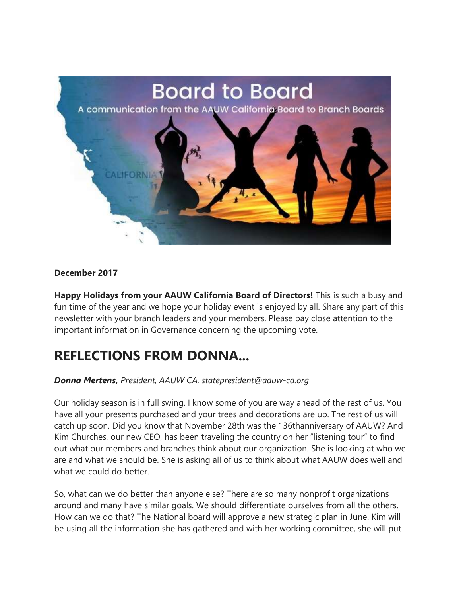

#### **December 2017**

**Happy Holidays from your AAUW California Board of Directors!** This is such a busy and fun time of the year and we hope your holiday event is enjoyed by all. Share any part of this newsletter with your branch leaders and your members. Please pay close attention to the important information in Governance concerning the upcoming vote.

### **REFLECTIONS FROM DONNA...**

#### *Donna Mertens, President, AAUW CA, statepresident@aauw-ca.org*

Our holiday season is in full swing. I know some of you are way ahead of the rest of us. You have all your presents purchased and your trees and decorations are up. The rest of us will catch up soon. Did you know that November 28th was the 136thanniversary of AAUW? And Kim Churches, our new CEO, has been traveling the country on her "listening tour" to find out what our members and branches think about our organization. She is looking at who we are and what we should be. She is asking all of us to think about what AAUW does well and what we could do better.

So, what can we do better than anyone else? There are so many nonprofit organizations around and many have similar goals. We should differentiate ourselves from all the others. How can we do that? The National board will approve a new strategic plan in June. Kim will be using all the information she has gathered and with her working committee, she will put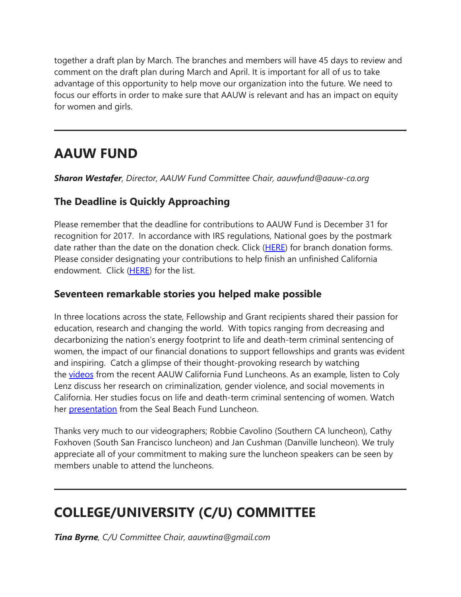together a draft plan by March. The branches and members will have 45 days to review and comment on the draft plan during March and April. It is important for all of us to take advantage of this opportunity to help move our organization into the future. We need to focus our efforts in order to make sure that AAUW is relevant and has an impact on equity for women and girls.

# **AAUW FUND**

*Sharon Westafer, Director, AAUW Fund Committee Chair, aauwfund@aauw-ca.org*

### **The Deadline is Quickly Approaching**

Please remember that the deadline for contributions to AAUW Fund is December 31 for recognition for 2017. In accordance with IRS regulations, National goes by the postmark date rather than the date on the donation check. Click [\(HERE\)](https://nam02.safelinks.protection.outlook.com/?url=https%3A%2F%2Fbor.aauw-ca.org%2Fsendy%2Fl%2Fv0NGBhI6dqEFRJAJ8q3qaA%2FUFuiQxQcFBaxVmQOq1LY3w%2FGQdMwwcHNSwmqIM33DtDIw&data=02%7C01%7Csandi.gabe%40hotmail.com%7C753f707e995c446e40d808d53869cb36%7C84df9e7fe9f640afb435aaaaaaaaaaaa%7C1%7C0%7C636476949381082007&sdata=xTdadkdxnRaFE1veOgZJnMW5fE%2ByL8Xx7Lv0itqYVYs%3D&reserved=0) for branch donation forms. Please consider designating your contributions to help finish an unfinished California endowment. Click [\(HERE\)](https://nam02.safelinks.protection.outlook.com/?url=https%3A%2F%2Fbor.aauw-ca.org%2Fsendy%2Fl%2Fv0NGBhI6dqEFRJAJ8q3qaA%2FBKuGAkCGnb8Og8q0s763aTrg%2FGQdMwwcHNSwmqIM33DtDIw&data=02%7C01%7Csandi.gabe%40hotmail.com%7C753f707e995c446e40d808d53869cb36%7C84df9e7fe9f640afb435aaaaaaaaaaaa%7C1%7C0%7C636476949381082007&sdata=os%2BHCzbUiqrR%2F4lOYCoLNGnDxwsGo7DlvRNjGKIWU9M%3D&reserved=0) for the list.

#### **Seventeen remarkable stories you helped make possible**

In three locations across the state, Fellowship and Grant recipients shared their passion for education, research and changing the world. With topics ranging from decreasing and decarbonizing the nation's energy footprint to life and death-term criminal sentencing of women, the impact of our financial donations to support fellowships and grants was evident and inspiring. Catch a glimpse of their thought-provoking research by watching the [videos](https://nam02.safelinks.protection.outlook.com/?url=https%3A%2F%2Fbor.aauw-ca.org%2Fsendy%2Fl%2Fv0NGBhI6dqEFRJAJ8q3qaA%2FE4ksTzJPRPnDGOkKwyOC2Q%2FGQdMwwcHNSwmqIM33DtDIw&data=02%7C01%7Csandi.gabe%40hotmail.com%7C753f707e995c446e40d808d53869cb36%7C84df9e7fe9f640afb435aaaaaaaaaaaa%7C1%7C0%7C636476949381082007&sdata=4QJ%2FH5JDTzh17uu%2FYd6jX%2FIAiRF%2BWOSn9lK1X4m%2B4O0%3D&reserved=0) from the recent AAUW California Fund Luncheons. As an example, listen to Coly Lenz discuss her research on criminalization, gender violence, and social movements in California. Her studies focus on life and death-term criminal sentencing of women. Watch her **[presentation](https://nam02.safelinks.protection.outlook.com/?url=https%3A%2F%2Fbor.aauw-ca.org%2Fsendy%2Fl%2Fv0NGBhI6dqEFRJAJ8q3qaA%2FFFc6hTWGS03WjpbalZOALg%2FGQdMwwcHNSwmqIM33DtDIw&data=02%7C01%7Csandi.gabe%40hotmail.com%7C753f707e995c446e40d808d53869cb36%7C84df9e7fe9f640afb435aaaaaaaaaaaa%7C1%7C0%7C636476949381082007&sdata=aN92XTsSqBshe92FG6e%2FSocE1EKwf2fne126jMnivfM%3D&reserved=0)** from the Seal Beach Fund Luncheon.

Thanks very much to our videographers; Robbie Cavolino (Southern CA luncheon), Cathy Foxhoven (South San Francisco luncheon) and Jan Cushman (Danville luncheon). We truly appreciate all of your commitment to making sure the luncheon speakers can be seen by members unable to attend the luncheons.

# **COLLEGE/UNIVERSITY (C/U) COMMITTEE**

*Tina Byrne, C/U Committee Chair, aauwtina@gmail.com*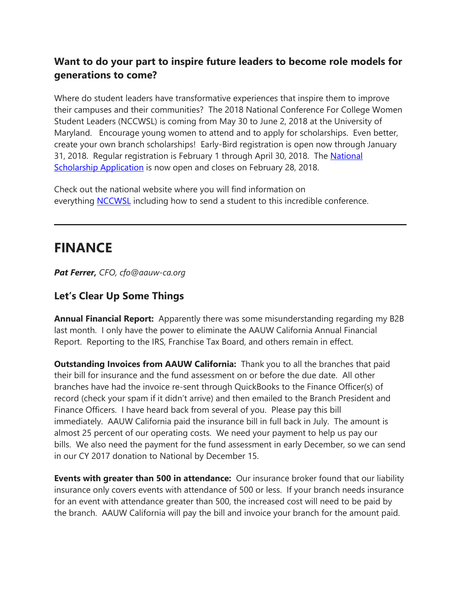### **Want to do your part to inspire future leaders to become role models for generations to come?**

Where do student leaders have transformative experiences that inspire them to improve their campuses and their communities? The 2018 National Conference For College Women Student Leaders (NCCWSL) is coming from May 30 to June 2, 2018 at the University of Maryland. Encourage young women to attend and to apply for scholarships. Even better, create your own branch scholarships! Early-Bird registration is open now through January 31, 2018. Regular registration is February 1 through April 30, 2018. The [National](https://nam02.safelinks.protection.outlook.com/?url=https%3A%2F%2Fbor.aauw-ca.org%2Fsendy%2Fl%2Fv0NGBhI6dqEFRJAJ8q3qaA%2Fly1BUHwDrYC892j2RBVhjRTA%2FGQdMwwcHNSwmqIM33DtDIw&data=02%7C01%7Csandi.gabe%40hotmail.com%7C753f707e995c446e40d808d53869cb36%7C84df9e7fe9f640afb435aaaaaaaaaaaa%7C1%7C0%7C636476949381082007&sdata=QCZrXmSnxMHl1W10%2FiywKiOeugPG9wMtyKTjSr4cM7o%3D&reserved=0)  [Scholarship Application](https://nam02.safelinks.protection.outlook.com/?url=https%3A%2F%2Fbor.aauw-ca.org%2Fsendy%2Fl%2Fv0NGBhI6dqEFRJAJ8q3qaA%2Fly1BUHwDrYC892j2RBVhjRTA%2FGQdMwwcHNSwmqIM33DtDIw&data=02%7C01%7Csandi.gabe%40hotmail.com%7C753f707e995c446e40d808d53869cb36%7C84df9e7fe9f640afb435aaaaaaaaaaaa%7C1%7C0%7C636476949381082007&sdata=QCZrXmSnxMHl1W10%2FiywKiOeugPG9wMtyKTjSr4cM7o%3D&reserved=0) is now open and closes on February 28, 2018.

Check out the national website where you will find information on everything [NCCWSL](https://nam02.safelinks.protection.outlook.com/?url=https%3A%2F%2Fbor.aauw-ca.org%2Fsendy%2Fl%2Fv0NGBhI6dqEFRJAJ8q3qaA%2FS892NmEbDZWIWW5amfj0Arog%2FGQdMwwcHNSwmqIM33DtDIw&data=02%7C01%7Csandi.gabe%40hotmail.com%7C753f707e995c446e40d808d53869cb36%7C84df9e7fe9f640afb435aaaaaaaaaaaa%7C1%7C0%7C636476949381082007&sdata=TUa%2F35JZ2VbrqbyJnNxZTEeTt6ZBJ9UEZQWMxTcCYUs%3D&reserved=0) including how to send a student to this incredible conference.

# **FINANCE**

*Pat Ferrer, CFO, cfo@aauw-ca.org*

#### **Let's Clear Up Some Things**

**Annual Financial Report:** Apparently there was some misunderstanding regarding my B2B last month. I only have the power to eliminate the AAUW California Annual Financial Report. Reporting to the IRS, Franchise Tax Board, and others remain in effect.

**Outstanding Invoices from AAUW California:** Thank you to all the branches that paid their bill for insurance and the fund assessment on or before the due date. All other branches have had the invoice re-sent through QuickBooks to the Finance Officer(s) of record (check your spam if it didn't arrive) and then emailed to the Branch President and Finance Officers. I have heard back from several of you. Please pay this bill immediately. AAUW California paid the insurance bill in full back in July. The amount is almost 25 percent of our operating costs. We need your payment to help us pay our bills. We also need the payment for the fund assessment in early December, so we can send in our CY 2017 donation to National by December 15.

**Events with greater than 500 in attendance:** Our insurance broker found that our liability insurance only covers events with attendance of 500 or less. If your branch needs insurance for an event with attendance greater than 500, the increased cost will need to be paid by the branch. AAUW California will pay the bill and invoice your branch for the amount paid.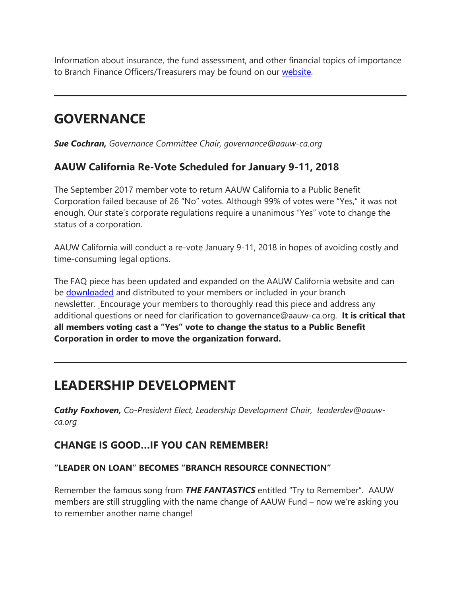Information about insurance, the fund assessment, and other financial topics of importance to Branch Finance Officers/Treasurers may be found on our [website.](https://nam02.safelinks.protection.outlook.com/?url=https%3A%2F%2Fbor.aauw-ca.org%2Fsendy%2Fl%2Fv0NGBhI6dqEFRJAJ8q3qaA%2Fue11VS1tEWQ3n41XQtnOMA%2FGQdMwwcHNSwmqIM33DtDIw&data=02%7C01%7Csandi.gabe%40hotmail.com%7C753f707e995c446e40d808d53869cb36%7C84df9e7fe9f640afb435aaaaaaaaaaaa%7C1%7C0%7C636476949381082007&sdata=yogHY%2F%2FH%2Fzc%2FV6IJHmAE7%2FjB3T9qRNyOjqtyRDnFBRA%3D&reserved=0)

## **GOVERNANCE**

*Sue Cochran, Governance Committee Chair, governance@aauw-ca.org*

#### **AAUW California Re-Vote Scheduled for January 9-11, 2018**

The September 2017 member vote to return AAUW California to a Public Benefit Corporation failed because of 26 "No" votes. Although 99% of votes were "Yes," it was not enough. Our state's corporate regulations require a unanimous "Yes" vote to change the status of a corporation.

AAUW California will conduct a re-vote January 9-11, 2018 in hopes of avoiding costly and time-consuming legal options.

The FAQ piece has been updated and expanded on the AAUW California website and can be [downloaded](https://nam02.safelinks.protection.outlook.com/?url=https%3A%2F%2Fbor.aauw-ca.org%2Fsendy%2Fl%2Fv0NGBhI6dqEFRJAJ8q3qaA%2FP51EXIqcsBQtm2kma4myJg%2FGQdMwwcHNSwmqIM33DtDIw&data=02%7C01%7Csandi.gabe%40hotmail.com%7C753f707e995c446e40d808d53869cb36%7C84df9e7fe9f640afb435aaaaaaaaaaaa%7C1%7C0%7C636476949381082007&sdata=x%2Bu8sI7T0z3sfvHhRdhgFheIQZQQGUTNsalS5aM3fgk%3D&reserved=0) and distributed to your members or included in your branch newsletter. [E](https://nam02.safelinks.protection.outlook.com/?url=https%3A%2F%2Fbor.aauw-ca.org%2Fsendy%2Fl%2Fv0NGBhI6dqEFRJAJ8q3qaA%2FBEi2itZ5ni7PQGxsX6WNdQ%2FGQdMwwcHNSwmqIM33DtDIw&data=02%7C01%7Csandi.gabe%40hotmail.com%7C753f707e995c446e40d808d53869cb36%7C84df9e7fe9f640afb435aaaaaaaaaaaa%7C1%7C0%7C636476949381082007&sdata=xkH0BU99W92mLDdKMA3qVCwB1dVYOEjSt0Q%2FcVk5wOU%3D&reserved=0)ncourage your members to thoroughly read this piece and address any additional questions or need for clarification to governance@aauw-ca.org. **It is critical that all members voting cast a "Yes" vote to change the status to a Public Benefit Corporation in order to move the organization forward.**

## **LEADERSHIP DEVELOPMENT**

*Cathy Foxhoven, Co-President Elect, Leadership Development Chair, leaderdev@aauwca.org*

#### **CHANGE IS GOOD…IF YOU CAN REMEMBER!**

#### **"LEADER ON LOAN" BECOMES "BRANCH RESOURCE CONNECTION"**

Remember the famous song from *THE FANTASTICS* entitled "Try to Remember". AAUW members are still struggling with the name change of AAUW Fund – now we're asking you to remember another name change!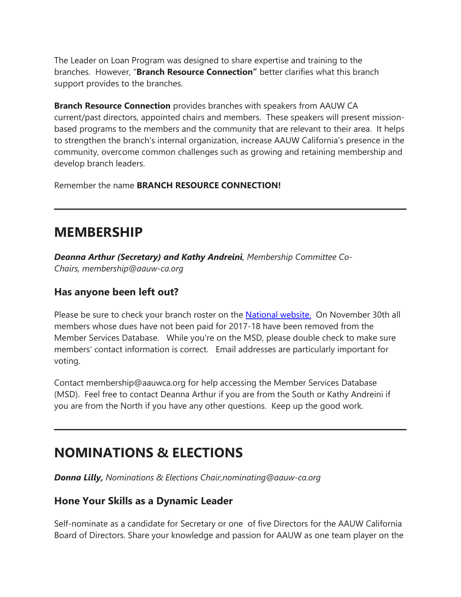The Leader on Loan Program was designed to share expertise and training to the branches. However, "**Branch Resource Connection"** better clarifies what this branch support provides to the branches.

**Branch Resource Connection** provides branches with speakers from AAUW CA current/past directors, appointed chairs and members. These speakers will present missionbased programs to the members and the community that are relevant to their area. It helps to strengthen the branch's internal organization, increase AAUW California's presence in the community, overcome common challenges such as growing and retaining membership and develop branch leaders.

Remember the name **BRANCH RESOURCE CONNECTION!**

### **MEMBERSHIP**

*Deanna Arthur (Secretary) and Kathy Andreini, Membership Committee Co-Chairs, membership@aauw-ca.org*

#### **Has anyone been left out?**

Please be sure to check your branch roster on the [National website.](https://nam02.safelinks.protection.outlook.com/?url=https%3A%2F%2Fbor.aauw-ca.org%2Fsendy%2Fl%2Fv0NGBhI6dqEFRJAJ8q3qaA%2FosoqUny3jqHXfaQq3ZQV6Q%2FGQdMwwcHNSwmqIM33DtDIw&data=02%7C01%7Csandi.gabe%40hotmail.com%7C753f707e995c446e40d808d53869cb36%7C84df9e7fe9f640afb435aaaaaaaaaaaa%7C1%7C0%7C636476949381082007&sdata=BuS4oaQwV4QyZBw6yBaARd%2B9g5jK3F%2Fc%2BQZ9mYDF%2Bs4%3D&reserved=0) On November 30th all members whose dues have not been paid for 2017-18 have been removed from the Member Services Database. While you're on the MSD, please double check to make sure members' contact information is correct. Email addresses are particularly important for voting.

Contact membership@aauwca.org for help accessing the Member Services Database (MSD). Feel free to contact Deanna Arthur if you are from the South or Kathy Andreini if you are from the North if you have any other questions. Keep up the good work.

## **NOMINATIONS & ELECTIONS**

*Donna Lilly, Nominations & Elections Chair,nominating@aauw-ca.org*

#### **Hone Your Skills as a Dynamic Leader**

Self-nominate as a candidate for Secretary or one of five Directors for the AAUW California Board of Directors. Share your knowledge and passion for AAUW as one team player on the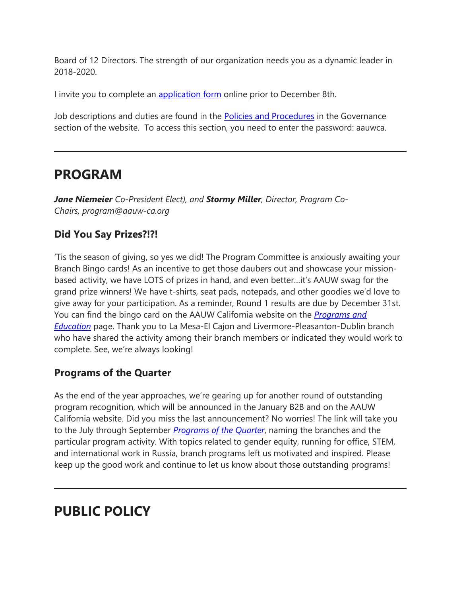Board of 12 Directors. The strength of our organization needs you as a dynamic leader in 2018-2020.

I invite you to complete an [application form](https://nam02.safelinks.protection.outlook.com/?url=https%3A%2F%2Fbor.aauw-ca.org%2Fsendy%2Fl%2Fv0NGBhI6dqEFRJAJ8q3qaA%2F6892E34WcazYmGsABgUmUSFA%2FGQdMwwcHNSwmqIM33DtDIw&data=02%7C01%7Csandi.gabe%40hotmail.com%7C753f707e995c446e40d808d53869cb36%7C84df9e7fe9f640afb435aaaaaaaaaaaa%7C1%7C0%7C636476949381082007&sdata=cD%2BuzPNZrahiPRiLvKtYP6iv6V5uNL2Rm%2B9LEdmGEok%3D&reserved=0) online prior to December 8th.

Job descriptions and duties are found in the [Policies and Procedures](https://nam02.safelinks.protection.outlook.com/?url=https%3A%2F%2Fbor.aauw-ca.org%2Fsendy%2Fl%2Fv0NGBhI6dqEFRJAJ8q3qaA%2F9763qQcRNel763umBlS8ENMgPQ%2FGQdMwwcHNSwmqIM33DtDIw&data=02%7C01%7Csandi.gabe%40hotmail.com%7C753f707e995c446e40d808d53869cb36%7C84df9e7fe9f640afb435aaaaaaaaaaaa%7C1%7C0%7C636476949381082007&sdata=At8D%2FDlkfnGGSjPu3G0MYhRvvZXfJS6IkZrpgxARKnE%3D&reserved=0) in the Governance section of the website. To access this section, you need to enter the password: aauwca.

### **PROGRAM**

*Jane Niemeier Co-President Elect), and Stormy Miller, Director, Program Co-Chairs, program@aauw-ca.org*

### **Did You Say Prizes?!?!**

'Tis the season of giving, so yes we did! The Program Committee is anxiously awaiting your Branch Bingo cards! As an incentive to get those daubers out and showcase your missionbased activity, we have LOTS of prizes in hand, and even better…it's AAUW swag for the grand prize winners! We have t-shirts, seat pads, notepads, and other goodies we'd love to give away for your participation. As a reminder, Round 1 results are due by December 31st. You can find the bingo card on the AAUW California website on the *[Programs and](https://nam02.safelinks.protection.outlook.com/?url=https%3A%2F%2Fbor.aauw-ca.org%2Fsendy%2Fl%2Fv0NGBhI6dqEFRJAJ8q3qaA%2FfeAI4w5k892YhzUTJLCnM6UQ%2FGQdMwwcHNSwmqIM33DtDIw&data=02%7C01%7Csandi.gabe%40hotmail.com%7C753f707e995c446e40d808d53869cb36%7C84df9e7fe9f640afb435aaaaaaaaaaaa%7C1%7C0%7C636476949381082007&sdata=ZgSrFNknrrBi9szDEofHWslwY6RU8vJ5cUlz%2BKivpGw%3D&reserved=0)  [Education](https://nam02.safelinks.protection.outlook.com/?url=https%3A%2F%2Fbor.aauw-ca.org%2Fsendy%2Fl%2Fv0NGBhI6dqEFRJAJ8q3qaA%2FfeAI4w5k892YhzUTJLCnM6UQ%2FGQdMwwcHNSwmqIM33DtDIw&data=02%7C01%7Csandi.gabe%40hotmail.com%7C753f707e995c446e40d808d53869cb36%7C84df9e7fe9f640afb435aaaaaaaaaaaa%7C1%7C0%7C636476949381082007&sdata=ZgSrFNknrrBi9szDEofHWslwY6RU8vJ5cUlz%2BKivpGw%3D&reserved=0)* page. Thank you to La Mesa-El Cajon and Livermore-Pleasanton-Dublin branch who have shared the activity among their branch members or indicated they would work to complete. See, we're always looking!

### **Programs of the Quarter**

As the end of the year approaches, we're gearing up for another round of outstanding program recognition, which will be announced in the January B2B and on the AAUW California website. Did you miss the last announcement? No worries! The link will take you to the July through September *[Programs of the Quarter](https://nam02.safelinks.protection.outlook.com/?url=https%3A%2F%2Fbor.aauw-ca.org%2Fsendy%2Fl%2Fv0NGBhI6dqEFRJAJ8q3qaA%2F4IzPMv3f0aniAohTVTaS4Q%2FGQdMwwcHNSwmqIM33DtDIw&data=02%7C01%7Csandi.gabe%40hotmail.com%7C753f707e995c446e40d808d53869cb36%7C84df9e7fe9f640afb435aaaaaaaaaaaa%7C1%7C0%7C636476949381082007&sdata=MwJ%2BgugGR2j76TQqJwNmedcUfwmQkYdtRBLy74J7KJ0%3D&reserved=0)*, naming the branches and the particular program activity. With topics related to gender equity, running for office, STEM, and international work in Russia, branch programs left us motivated and inspired. Please keep up the good work and continue to let us know about those outstanding programs!

## **PUBLIC POLICY**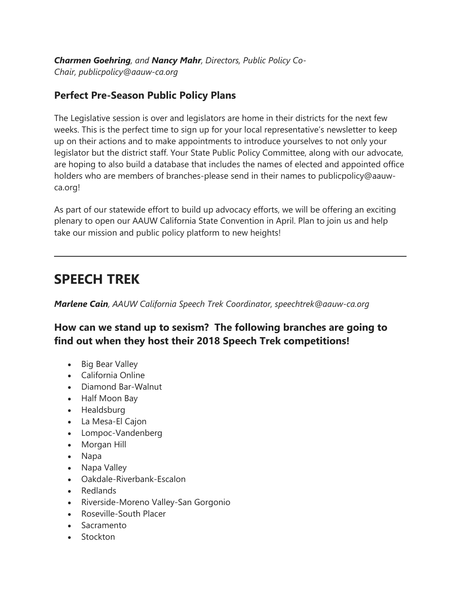*Charmen Goehring, and Nancy Mahr, Directors, Public Policy Co-Chair, publicpolicy@aauw-ca.org*

#### **Perfect Pre-Season Public Policy Plans**

The Legislative session is over and legislators are home in their districts for the next few weeks. This is the perfect time to sign up for your local representative's newsletter to keep up on their actions and to make appointments to introduce yourselves to not only your legislator but the district staff. Your State Public Policy Committee, along with our advocate, are hoping to also build a database that includes the names of elected and appointed office holders who are members of branches-please send in their names to publicpolicy@aauwca.org!

As part of our statewide effort to build up advocacy efforts, we will be offering an exciting plenary to open our AAUW California State Convention in April. Plan to join us and help take our mission and public policy platform to new heights!

### **SPEECH TREK**

*Marlene Cain, AAUW California Speech Trek Coordinator, speechtrek@aauw-ca.org*

**How can we stand up to sexism? The following branches are going to find out when they host their 2018 Speech Trek competitions!**

- Big Bear Valley
- California Online
- Diamond Bar-Walnut
- Half Moon Bay
- Healdsburg
- La Mesa-El Cajon
- Lompoc-Vandenberg
- Morgan Hill
- Napa
- Napa Valley
- Oakdale-Riverbank-Escalon
- Redlands
- Riverside-Moreno Valley-San Gorgonio
- Roseville-South Placer
- Sacramento
- Stockton